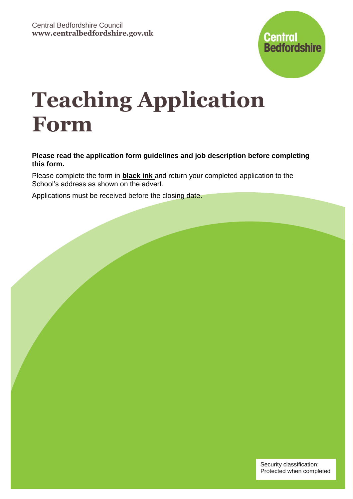

# **Teaching Application Form**

**Please read the application form guidelines and job description before completing this form.**

Please complete the form in **black ink** and return your completed application to the School's address as shown on the advert.

Applications must be received before the closing date.

Security classification: Protected when completed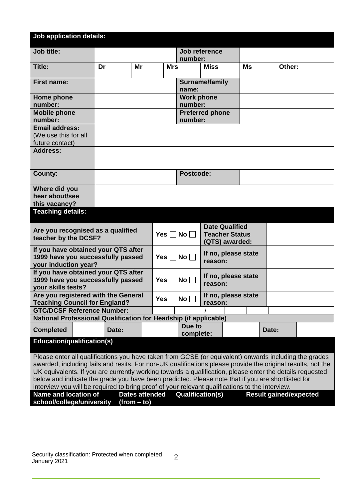| <b>Job application details:</b>                                                                                                                                                                                                                                                                                                                                                                                                                                                                                                          |       |    |                                                        |                                |                                                                  |  |           |        |  |
|------------------------------------------------------------------------------------------------------------------------------------------------------------------------------------------------------------------------------------------------------------------------------------------------------------------------------------------------------------------------------------------------------------------------------------------------------------------------------------------------------------------------------------------|-------|----|--------------------------------------------------------|--------------------------------|------------------------------------------------------------------|--|-----------|--------|--|
| Job title:                                                                                                                                                                                                                                                                                                                                                                                                                                                                                                                               |       |    |                                                        | number:                        | Job reference                                                    |  |           |        |  |
| Title:                                                                                                                                                                                                                                                                                                                                                                                                                                                                                                                                   | Dr    | Mr | <b>Mrs</b>                                             |                                | <b>Miss</b>                                                      |  | <b>Ms</b> | Other: |  |
| <b>First name:</b>                                                                                                                                                                                                                                                                                                                                                                                                                                                                                                                       |       |    |                                                        | name:                          | Surname/family                                                   |  |           |        |  |
| Home phone<br>number:                                                                                                                                                                                                                                                                                                                                                                                                                                                                                                                    |       |    |                                                        | <b>Work phone</b><br>number:   |                                                                  |  |           |        |  |
| <b>Mobile phone</b><br>number:                                                                                                                                                                                                                                                                                                                                                                                                                                                                                                           |       |    |                                                        | number:                        | <b>Preferred phone</b>                                           |  |           |        |  |
| <b>Email address:</b><br>(We use this for all<br>future contact)                                                                                                                                                                                                                                                                                                                                                                                                                                                                         |       |    |                                                        |                                |                                                                  |  |           |        |  |
| <b>Address:</b>                                                                                                                                                                                                                                                                                                                                                                                                                                                                                                                          |       |    |                                                        |                                |                                                                  |  |           |        |  |
| <b>County:</b>                                                                                                                                                                                                                                                                                                                                                                                                                                                                                                                           |       |    |                                                        | Postcode:                      |                                                                  |  |           |        |  |
| Where did you<br>hear about/see<br>this vacancy?                                                                                                                                                                                                                                                                                                                                                                                                                                                                                         |       |    |                                                        |                                |                                                                  |  |           |        |  |
| <b>Teaching details:</b>                                                                                                                                                                                                                                                                                                                                                                                                                                                                                                                 |       |    |                                                        |                                |                                                                  |  |           |        |  |
| Are you recognised as a qualified<br>teacher by the DCSF?                                                                                                                                                                                                                                                                                                                                                                                                                                                                                |       |    | Yes $\Box$ No $\Box$                                   |                                | <b>Date Qualified</b><br><b>Teacher Status</b><br>(QTS) awarded: |  |           |        |  |
| If you have obtained your QTS after<br>1999 have you successfully passed<br>your induction year?                                                                                                                                                                                                                                                                                                                                                                                                                                         |       |    | Yes $\Box$ No $\Box$                                   | If no, please state<br>reason: |                                                                  |  |           |        |  |
| If you have obtained your QTS after<br>1999 have you successfully passed<br>your skills tests?                                                                                                                                                                                                                                                                                                                                                                                                                                           |       |    | If no, please state<br>Yes $\Box$ No $\Box$<br>reason: |                                |                                                                  |  |           |        |  |
| Are you registered with the General<br><b>Teaching Council for England?</b>                                                                                                                                                                                                                                                                                                                                                                                                                                                              |       |    | Yes $\Box$ No $\Box$                                   |                                | If no, please state<br>reason:                                   |  |           |        |  |
| <b>GTC/DCSF Reference Number:</b><br>National Professional Qualification for Headship (if applicable)                                                                                                                                                                                                                                                                                                                                                                                                                                    |       |    |                                                        |                                |                                                                  |  |           |        |  |
| <b>Completed</b>                                                                                                                                                                                                                                                                                                                                                                                                                                                                                                                         | Date: |    |                                                        | Due to<br>complete:            |                                                                  |  |           | Date:  |  |
| <b>Education/qualification(s)</b>                                                                                                                                                                                                                                                                                                                                                                                                                                                                                                        |       |    |                                                        |                                |                                                                  |  |           |        |  |
| Please enter all qualifications you have taken from GCSE (or equivalent) onwards including the grades<br>awarded, including fails and resits. For non-UK qualifications please provide the original results, not the<br>UK equivalents. If you are currently working towards a qualification, please enter the details requested<br>below and indicate the grade you have been predicted. Please note that if you are shortlisted for<br>interview you will be required to bring proof of your relevant qualifications to the interview. |       |    |                                                        |                                |                                                                  |  |           |        |  |
| Name and location of<br><b>Dates attended</b><br><b>Qualification(s)</b><br><b>Result gained/expected</b><br>school/college/university<br>$(from - to)$                                                                                                                                                                                                                                                                                                                                                                                  |       |    |                                                        |                                |                                                                  |  |           |        |  |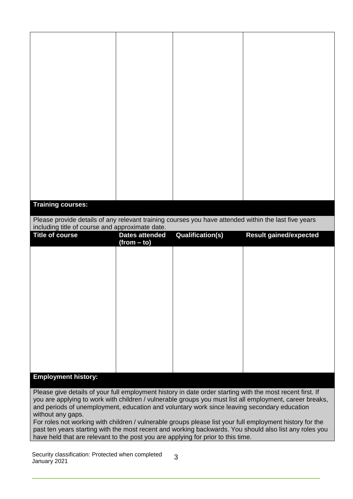| <b>Training courses:</b>                                                                                                                                |                       |                         |                                                                                                         |
|---------------------------------------------------------------------------------------------------------------------------------------------------------|-----------------------|-------------------------|---------------------------------------------------------------------------------------------------------|
| Please provide details of any relevant training courses you have attended within the last five years<br>including title of course and approximate date. |                       |                         |                                                                                                         |
| <b>Title of course</b>                                                                                                                                  |                       |                         |                                                                                                         |
|                                                                                                                                                         | <b>Dates attended</b> | <b>Qualification(s)</b> | <b>Result gained/expected</b>                                                                           |
|                                                                                                                                                         | $(from - to)$         |                         |                                                                                                         |
|                                                                                                                                                         |                       |                         |                                                                                                         |
|                                                                                                                                                         |                       |                         |                                                                                                         |
|                                                                                                                                                         |                       |                         |                                                                                                         |
|                                                                                                                                                         |                       |                         |                                                                                                         |
|                                                                                                                                                         |                       |                         |                                                                                                         |
|                                                                                                                                                         |                       |                         |                                                                                                         |
|                                                                                                                                                         |                       |                         |                                                                                                         |
|                                                                                                                                                         |                       |                         |                                                                                                         |
|                                                                                                                                                         |                       |                         |                                                                                                         |
| <b>Employment history:</b>                                                                                                                              |                       |                         |                                                                                                         |
| Please give details of your full employment history in date order starting with the most recent first. If                                               |                       |                         |                                                                                                         |
| and periods of unemployment, education and voluntary work since leaving secondary education                                                             |                       |                         | you are applying to work with children / vulnerable groups you must list all employment, career breaks, |
| without any gaps.                                                                                                                                       |                       |                         |                                                                                                         |
|                                                                                                                                                         |                       |                         |                                                                                                         |
| For roles not working with children / vulnerable groups please list your full employment history for the                                                |                       |                         | past ten years starting with the most recent and working backwards. You should also list any roles you  |

Security classification: Protected when completed January 2021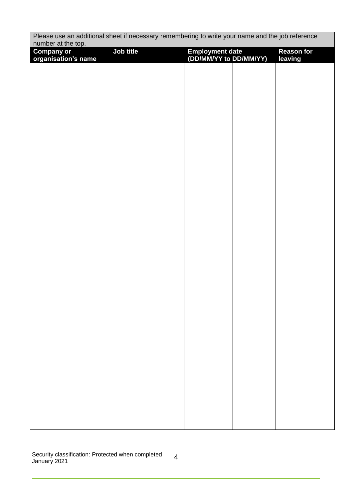| Please use an additional sheet if necessary remembering to write your name and the job reference<br>number at the top. |           |                                           |                   |
|------------------------------------------------------------------------------------------------------------------------|-----------|-------------------------------------------|-------------------|
| <b>Company or</b>                                                                                                      | Job title | Employment date<br>(DD/MM/YY to DD/MM/YY) | <b>Reason for</b> |
| organisation's name                                                                                                    |           |                                           | leaving           |
|                                                                                                                        |           |                                           |                   |
|                                                                                                                        |           |                                           |                   |
|                                                                                                                        |           |                                           |                   |
|                                                                                                                        |           |                                           |                   |
|                                                                                                                        |           |                                           |                   |
|                                                                                                                        |           |                                           |                   |
|                                                                                                                        |           |                                           |                   |
|                                                                                                                        |           |                                           |                   |
|                                                                                                                        |           |                                           |                   |
|                                                                                                                        |           |                                           |                   |
|                                                                                                                        |           |                                           |                   |
|                                                                                                                        |           |                                           |                   |
|                                                                                                                        |           |                                           |                   |
|                                                                                                                        |           |                                           |                   |
|                                                                                                                        |           |                                           |                   |
|                                                                                                                        |           |                                           |                   |
|                                                                                                                        |           |                                           |                   |
|                                                                                                                        |           |                                           |                   |
|                                                                                                                        |           |                                           |                   |
|                                                                                                                        |           |                                           |                   |
|                                                                                                                        |           |                                           |                   |
|                                                                                                                        |           |                                           |                   |
|                                                                                                                        |           |                                           |                   |
|                                                                                                                        |           |                                           |                   |
|                                                                                                                        |           |                                           |                   |
|                                                                                                                        |           |                                           |                   |
|                                                                                                                        |           |                                           |                   |
|                                                                                                                        |           |                                           |                   |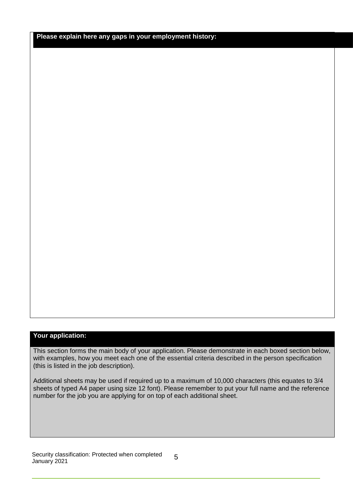**Please explain here any gaps in your employment history:**

#### **Your application:**

This section forms the main body of your application. Please demonstrate in each boxed section below, with examples, how you meet each one of the essential criteria described in the person specification (this is listed in the job description).

Additional sheets may be used if required up to a maximum of 10,000 characters (this equates to 3/4 sheets of typed A4 paper using size 12 font). Please remember to put your full name and the reference number for the job you are applying for on top of each additional sheet.

Security classification: Protected when completed January 2021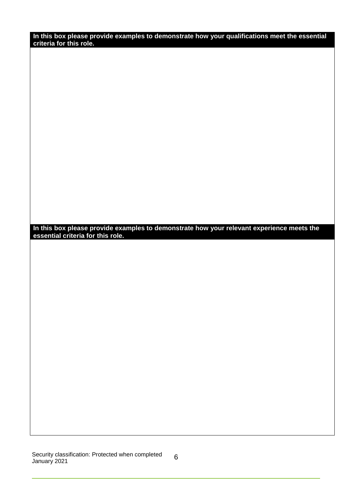**In this box please provide examples to demonstrate how your qualifications meet the essential criteria for this role.**

**In this box please provide examples to demonstrate how your relevant experience meets the essential criteria for this role.**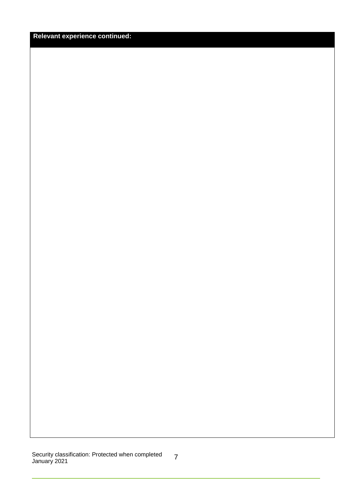### **Relevant experience continued:**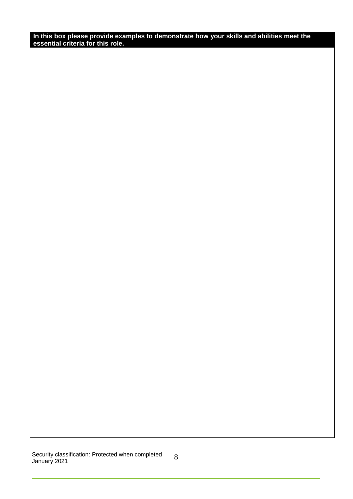**In this box please provide examples to demonstrate how your skills and abilities meet the essential criteria for this role.**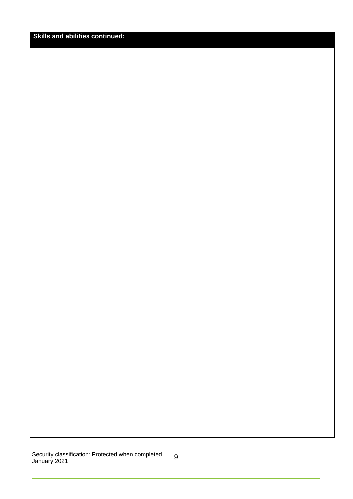## **Skills and abilities continued:**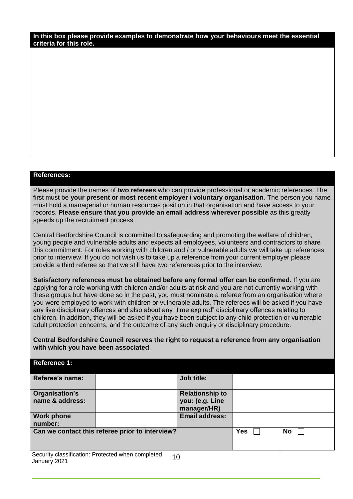**In this box please provide examples to demonstrate how your behaviours meet the essential criteria for this role.**

#### **References:**

Please provide the names of **two referees** who can provide professional or academic references. The first must be **your present or most recent employer / voluntary organisation**. The person you name must hold a managerial or human resources position in that organisation and have access to your records. **Please ensure that you provide an email address wherever possible** as this greatly speeds up the recruitment process.

Central Bedfordshire Council is committed to safeguarding and promoting the welfare of children, young people and vulnerable adults and expects all employees, volunteers and contractors to share this commitment. For roles working with children and / or vulnerable adults we will take up references prior to interview. If you do not wish us to take up a reference from your current employer please provide a third referee so that we still have two references prior to the interview.

**Satisfactory references must be obtained before any formal offer can be confirmed.** If you are applying for a role working with children and/or adults at risk and you are not currently working with these groups but have done so in the past, you must nominate a referee from an organisation where you were employed to work with children or vulnerable adults. The referees will be asked if you have any live disciplinary offences and also about any "time expired" disciplinary offences relating to children. In addition, they will be asked if you have been subject to any child protection or vulnerable adult protection concerns, and the outcome of any such enquiry or disciplinary procedure.

**Central Bedfordshire Council reserves the right to request a reference from any organisation with which you have been associated**.

| <b>Reference 1:</b>                             |                                           |            |    |
|-------------------------------------------------|-------------------------------------------|------------|----|
| Referee's name:                                 | Job title:                                |            |    |
| Organisation's<br>name & address:               | <b>Relationship to</b><br>you: (e.g. Line |            |    |
|                                                 | manager/HR)                               |            |    |
| <b>Work phone</b><br>number:                    | <b>Email address:</b>                     |            |    |
| Can we contact this referee prior to interview? |                                           | <b>Yes</b> | No |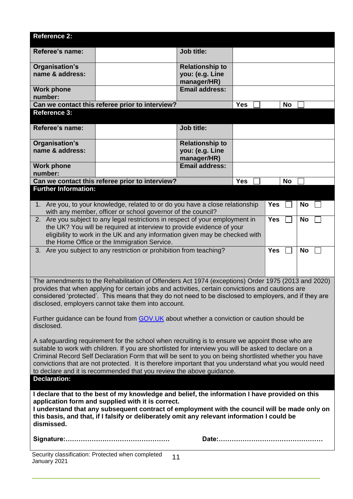| <b>Reference 2:</b>                                                                                                                                                                                       |                                           |            |            |           |  |
|-----------------------------------------------------------------------------------------------------------------------------------------------------------------------------------------------------------|-------------------------------------------|------------|------------|-----------|--|
| Referee's name:                                                                                                                                                                                           | Job title:                                |            |            |           |  |
| Organisation's                                                                                                                                                                                            | <b>Relationship to</b>                    |            |            |           |  |
| name & address:                                                                                                                                                                                           | you: (e.g. Line<br>manager/HR)            |            |            |           |  |
| <b>Work phone</b><br>number:                                                                                                                                                                              | <b>Email address:</b>                     |            |            |           |  |
| Can we contact this referee prior to interview?                                                                                                                                                           |                                           | <b>Yes</b> | <b>No</b>  |           |  |
| <b>Reference 3:</b>                                                                                                                                                                                       |                                           |            |            |           |  |
| Referee's name:                                                                                                                                                                                           | <b>Job title:</b>                         |            |            |           |  |
| Organisation's<br>name & address:                                                                                                                                                                         | <b>Relationship to</b><br>you: (e.g. Line |            |            |           |  |
|                                                                                                                                                                                                           | manager/HR)                               |            |            |           |  |
| <b>Work phone</b><br>number:                                                                                                                                                                              | <b>Email address:</b>                     |            |            |           |  |
| Can we contact this referee prior to interview?                                                                                                                                                           |                                           | <b>Yes</b> | <b>No</b>  |           |  |
| <b>Further Information:</b>                                                                                                                                                                               |                                           |            |            |           |  |
| 1. Are you, to your knowledge, related to or do you have a close relationship                                                                                                                             |                                           |            | <b>Yes</b> | <b>No</b> |  |
| with any member, officer or school governor of the council?<br>2. Are you subject to any legal restrictions in respect of your employment in                                                              |                                           |            | <b>Yes</b> | <b>No</b> |  |
| the UK? You will be required at interview to provide evidence of your                                                                                                                                     |                                           |            |            |           |  |
| eligibility to work in the UK and any information given may be checked with                                                                                                                               |                                           |            |            |           |  |
| the Home Office or the Immigration Service.<br>3. Are you subject to any restriction or prohibition from teaching?<br><b>Yes</b>                                                                          |                                           |            |            | <b>No</b> |  |
|                                                                                                                                                                                                           |                                           |            |            |           |  |
|                                                                                                                                                                                                           |                                           |            |            |           |  |
| The amendments to the Rehabilitation of Offenders Act 1974 (exceptions) Order 1975 (2013 and 2020)                                                                                                        |                                           |            |            |           |  |
| provides that when applying for certain jobs and activities, certain convictions and cautions are                                                                                                         |                                           |            |            |           |  |
| considered 'protected'. This means that they do not need to be disclosed to employers, and if they are<br>disclosed, employers cannot take them into account.                                             |                                           |            |            |           |  |
|                                                                                                                                                                                                           |                                           |            |            |           |  |
| Further guidance can be found from GOV.UK about whether a conviction or caution should be<br>disclosed.                                                                                                   |                                           |            |            |           |  |
|                                                                                                                                                                                                           |                                           |            |            |           |  |
| A safeguarding requirement for the school when recruiting is to ensure we appoint those who are<br>suitable to work with children. If you are shortlisted for interview you will be asked to declare on a |                                           |            |            |           |  |
| Criminal Record Self Declaration Form that will be sent to you on being shortlisted whether you have                                                                                                      |                                           |            |            |           |  |
| convictions that are not protected. It is therefore important that you understand what you would need<br>to declare and it is recommended that you review the above guidance.                             |                                           |            |            |           |  |
| <b>Declaration:</b>                                                                                                                                                                                       |                                           |            |            |           |  |
| I declare that to the best of my knowledge and belief, the information I have provided on this                                                                                                            |                                           |            |            |           |  |
| application form and supplied with it is correct.                                                                                                                                                         |                                           |            |            |           |  |
| I understand that any subsequent contract of employment with the council will be made only on                                                                                                             |                                           |            |            |           |  |
| this basis, and that, if I falsify or deliberately omit any relevant information I could be<br>dismissed.                                                                                                 |                                           |            |            |           |  |
|                                                                                                                                                                                                           |                                           |            |            |           |  |
|                                                                                                                                                                                                           |                                           |            |            |           |  |
| Security classification: Protected when completed<br>January 2021                                                                                                                                         | 11                                        |            |            |           |  |